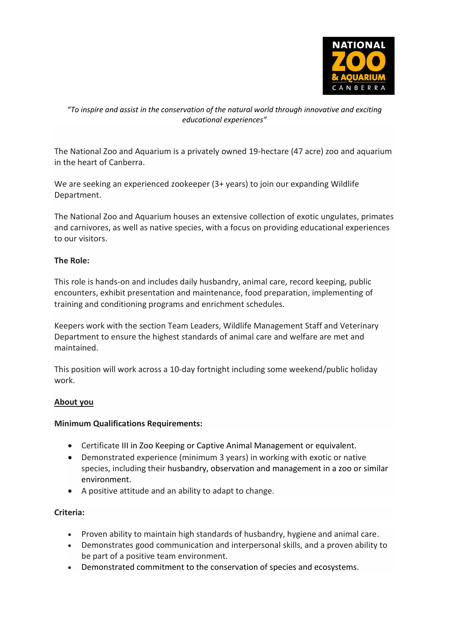

*"To inspire and assist in the conservation of the natural world through innovative and exciting educational experiences"*

The National Zoo and Aquarium is a privately owned 19-hectare (47 acre) zoo and aquarium in the heart of Canberra.

We are seeking an experienced zookeeper (3+ years) to join our expanding Wildlife Department.

The National Zoo and Aquarium houses an extensive collection of exotic ungulates, primates and carnivores, as well as native species, with a focus on providing educational experiences to our visitors.

# **The Role:**

This role is hands-on and includes daily husbandry, animal care, record keeping, public encounters, exhibit presentation and maintenance, food preparation, implementing of training and conditioning programs and enrichment schedules.

Keepers work with the section Team Leaders, Wildlife Management Staff and Veterinary Department to ensure the highest standards of animal care and welfare are met and maintained.

This position will work across a 10-day fortnight including some weekend/public holiday work.

# **About you**

## **Minimum Qualifications Requirements:**

- Certificate III in Zoo Keeping or Captive Animal Management or equivalent.
- Demonstrated experience (minimum 3 years) in working with exotic or native species, including their husbandry, observation and management in a zoo or similar environment.
- A positive attitude and an ability to adapt to change.

## **Criteria:**

- Proven ability to maintain high standards of husbandry, hygiene and animal care.
- Demonstrates good communication and interpersonal skills, and a proven ability to be part of a positive team environment.
- Demonstrated commitment to the conservation of species and ecosystems.